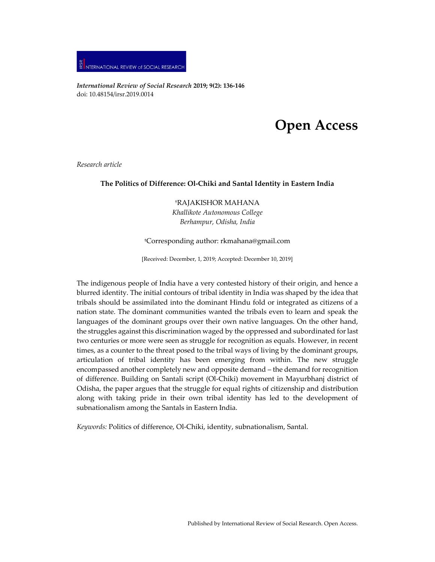

*International Review of Social Research* **2019; 9(2): 136-146** doi: 10.48154/irsr.2019.0014

# **Open Access**

*Research article*

## **The Politics of Difference: Ol-Chiki and Santal Identity in Eastern India**

†RAJAKISHOR MAHANA *Khallikote Autonomous College Berhampur, Odisha, India*

## †Corresponding author: [rkmahana@gmail.com](mailto:rkmahana@gmail.com)

[Received: December, 1, 2019; Accepted: December 10, 2019]

The indigenous people of India have a very contested history of their origin, and hence a blurred identity. The initial contours of tribal identity in India was shaped by the idea that tribals should be assimilated into the dominant Hindu fold or integrated as citizens of a nation state. The dominant communities wanted the tribals even to learn and speak the languages of the dominant groups over their own native languages. On the other hand, the struggles against this discrimination waged by the oppressed and subordinated forlast two centuries or more were seen as struggle for recognition as equals. However, in recent times, as a counter to the threat posed to the tribal ways of living by the dominant groups, articulation of tribal identity has been emerging from within. The new struggle encompassed another completely new and opposite demand – the demand for recognition of difference. Building on Santali script (Ol-Chiki) movement in Mayurbhanj district of Odisha, the paper argues that the struggle for equal rights of citizenship and distribution along with taking pride in their own tribal identity has led to the development of subnationalism among the Santals in Eastern India.

*Keywords:* Politics of difference, Ol-Chiki, identity, subnationalism, Santal.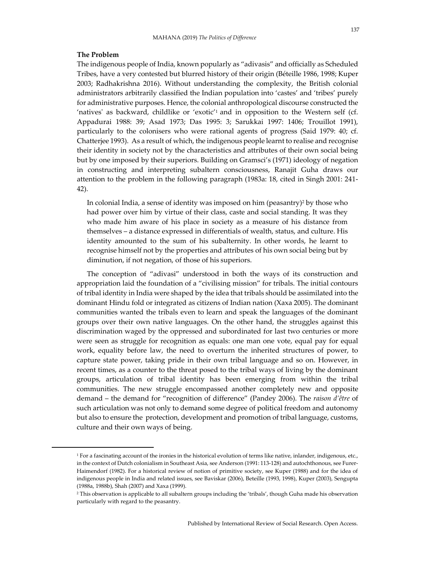## **The Problem**

The indigenous people of India, known popularly as "adivasis" and officially as Scheduled Tribes, have a very contested but blurred history of their origin (Béteille 1986, 1998; Kuper 2003; Radhakrishna 2016). Without understanding the complexity, the British colonial administrators arbitrarily classified the Indian population into 'castes' and 'tribes' purely for administrative purposes. Hence, the colonial anthropological discourse constructed the 'natives' as backward, childlike or 'exotic'1 and in opposition to the Western self (cf. Appadurai 1988: 39; Asad 1973; Das 1995: 3; Sarukkai 1997: 1406; Trouillot 1991), particularly to the colonisers who were rational agents of progress (Said 1979: 40; cf. Chatterjee 1993). As a result of which, the indigenous people learnt to realise and recognise their identity in society not by the characteristics and attributes of their own social being but by one imposed by their superiors. Building on Gramsci's (1971) ideology of negation in constructing and interpreting subaltern consciousness, Ranajit Guha draws our attention to the problem in the following paragraph (1983a: 18, cited in Singh 2001: 241- 42).

In colonial India, a sense of identity was imposed on him (peasantry)<sup>2</sup> by those who had power over him by virtue of their class, caste and social standing. It was they who made him aware of his place in society as a measure of his distance from themselves – a distance expressed in differentials of wealth, status, and culture. His identity amounted to the sum of his subalternity. In other words, he learnt to recognise himself not by the properties and attributes of his own social being but by diminution, if not negation, of those of his superiors.

The conception of "adivasi" understood in both the ways of its construction and appropriation laid the foundation of a "civilising mission" for tribals. The initial contours of tribal identity in India were shaped by the idea that tribals should be assimilated into the dominant Hindu fold or integrated as citizens of Indian nation (Xaxa 2005). The dominant communities wanted the tribals even to learn and speak the languages of the dominant groups over their own native languages. On the other hand, the struggles against this discrimination waged by the oppressed and subordinated for last two centuries or more were seen as struggle for recognition as equals: one man one vote, equal pay for equal work, equality before law, the need to overturn the inherited structures of power, to capture state power, taking pride in their own tribal language and so on. However, in recent times, as a counter to the threat posed to the tribal ways of living by the dominant groups, articulation of tribal identity has been emerging from within the tribal communities. The new struggle encompassed another completely new and opposite demand – the demand for "recognition of difference" (Pandey 2006). The *raison d'être* of such articulation was not only to demand some degree of political freedom and autonomy but also to ensure the protection, development and promotion of tribal language, customs, culture and their own ways of being.

<sup>1</sup> For a fascinating account of the ironies in the historical evolution of terms like native, inlander, indigenous, etc., in the context of Dutch colonialism in Southeast Asia, see Anderson (1991: 113-128) and autochthonous, see Furer-Haimendorf (1982). For a historical review of notion of primitive society, see Kuper (1988) and for the idea of indigenous people in India and related issues, see Baviskar (2006), Beteille (1993, 1998), Kuper (2003), Sengupta (1988a, 1988b), Shah (2007) and Xaxa (1999).

<sup>2</sup> This observation is applicable to all subaltern groups including the 'tribals', though Guha made his observation particularly with regard to the peasantry.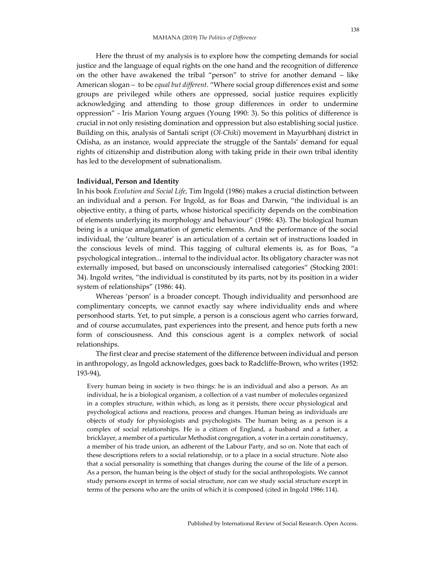Here the thrust of my analysis is to explore how the competing demands for social justice and the language of equal rights on the one hand and the recognition of difference on the other have awakened the tribal "person" to strive for another demand – like American slogan – to be *equal but different*. "Where social group differences exist and some groups are privileged while others are oppressed, social justice requires explicitly acknowledging and attending to those group differences in order to undermine oppression" - Iris Marion Young argues (Young 1990: 3). So this politics of difference is crucial in not only resisting domination and oppression but also establishing social justice. Building on this, analysis of Santali script (*Ol-Chiki*) movement in Mayurbhanj district in Odisha, as an instance, would appreciate the struggle of the Santals' demand for equal rights of citizenship and distribution along with taking pride in their own tribal identity has led to the development of subnationalism.

### **Individual, Person and Identity**

In his book *Evolution and Social Life*, Tim Ingold (1986) makes a crucial distinction between an individual and a person. For Ingold, as for Boas and Darwin, "the individual is an objective entity, a thing of parts, whose historical specificity depends on the combination of elements underlying its morphology and behaviour" (1986: 43). The biological human being is a unique amalgamation of genetic elements. And the performance of the social individual, the 'culture bearer' is an articulation of a certain set of instructions loaded in the conscious levels of mind. This tagging of cultural elements is, as for Boas, "a psychological integration... internal to the individual actor. Its obligatory character was not externally imposed, but based on unconsciously internalised categories" (Stocking 2001: 34). Ingold writes, "the individual is constituted by its parts, not by its position in a wider system of relationships" (1986: 44).

Whereas 'person' is a broader concept. Though individuality and personhood are complimentary concepts, we cannot exactly say where individuality ends and where personhood starts. Yet, to put simple, a person is a conscious agent who carries forward, and of course accumulates, past experiences into the present, and hence puts forth a new form of consciousness. And this conscious agent is a complex network of social relationships.

The first clear and precise statement of the difference between individual and person in anthropology, as Ingold acknowledges, goes back to Radcliffe-Brown, who writes (1952: 193-94),

Every human being in society is two things: he is an individual and also a person. As an individual, he is a biological organism, a collection of a vast number of molecules organized in a complex structure, within which, as long as it persists, there occur physiological and psychological actions and reactions, process and changes. Human being as individuals are objects of study for physiologists and psychologists. The human being as a person is a complex of social relationships. He is a citizen of England, a husband and a father, a bricklayer, a member of a particular Methodist congregation, a voter in a certain constituency, a member of his trade union, an adherent of the Labour Party, and so on. Note that each of these descriptions refers to a social relationship, or to a place in a social structure. Note also that a social personality is something that changes during the course of the life of a person. As a person, the human being is the object of study for the social anthropologists. We cannot study persons except in terms of social structure, nor can we study social structure except in terms of the persons who are the units of which it is composed (cited in Ingold 1986: 114).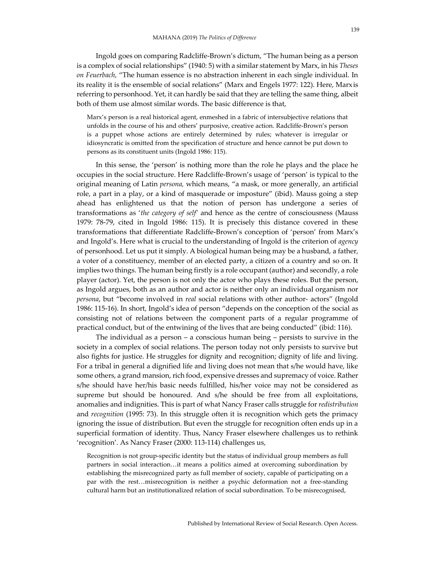Ingold goes on comparing Radcliffe-Brown's dictum, "The human being as a person is a complex of social relationships" (1940: 5) with a similar statement by Marx, in his *Theses on Feuerbach*, "The human essence is no abstraction inherent in each single individual. In its reality it is the ensemble of social relations" (Marx and Engels 1977: 122). Here, Marxis referring to personhood. Yet, it can hardly be said that they are telling the same thing, albeit both of them use almost similar words. The basic difference is that,

Marx's person is a real historical agent, enmeshed in a fabric of intersubjective relations that unfolds in the course of his and others' purposive, creative action. Radcliffe-Brown's person is a puppet whose actions are entirely determined by rules; whatever is irregular or idiosyncratic is omitted from the specification of structure and hence cannot be put down to persons as its constituent units (Ingold 1986: 115).

In this sense, the 'person' is nothing more than the role he plays and the place he occupies in the social structure. Here Radcliffe-Brown's usage of 'person' is typical to the original meaning of Latin *persona,* which means, "a mask, or more generally, an artificial role, a part in a play, or a kind of masquerade or imposture" (ibid). Mauss going a step ahead has enlightened us that the notion of person has undergone a series of transformations as '*the category of self'* and hence as the centre of consciousness (Mauss 1979: 78-79, cited in Ingold 1986: 115). It is precisely this distance covered in these transformations that differentiate Radcliffe-Brown's conception of 'person' from Marx's and Ingold's. Here what is crucial to the understanding of Ingold is the criterion of *agency*  of personhood. Let us put it simply. A biological human being may be a husband, a father, a voter of a constituency, member of an elected party, a citizen of a country and so on. It implies two things. The human being firstly is a role occupant (author) and secondly, a role player (actor). Yet, the person is not only the actor who plays these roles. But the person, as Ingold argues, both as an author and actor is neither only an individual organism nor *persona*, but "become involved in *real* social relations with other author- actors" (Ingold 1986: 115-16). In short, Ingold's idea of person "depends on the conception of the social as consisting not of relations between the component parts of a regular programme of practical conduct, but of the entwining of the lives that are being conducted" (ibid: 116).

The individual as a person – a conscious human being – persists to survive in the society in a complex of social relations. The person today not only persists to survive but also fights for justice. He struggles for dignity and recognition; dignity of life and living. For a tribal in general a dignified life and living does not mean that s/he would have, like some others, a grand mansion, rich food, expensive dresses and supremacy of voice. Rather s/he should have her/his basic needs fulfilled, his/her voice may not be considered as supreme but should be honoured. And s/he should be free from all exploitations, anomalies and indignities. This is part of what Nancy Fraser calls struggle for *redistribution*  and *recognition* (1995: 73). In this struggle often it is recognition which gets the primacy ignoring the issue of distribution. But even the struggle for recognition often ends up in a superficial formation of identity. Thus, Nancy Fraser elsewhere challenges us to rethink 'recognition'. As Nancy Fraser (2000: 113-114) challenges us,

Recognition is not group-specific identity but the status of individual group members as full partners in social interaction…it means a politics aimed at overcoming subordination by establishing the misrecognized party as full member of society, capable of participating on a par with the rest…misrecognition is neither a psychic deformation not a free-standing cultural harm but an institutionalized relation of social subordination. To be misrecognised,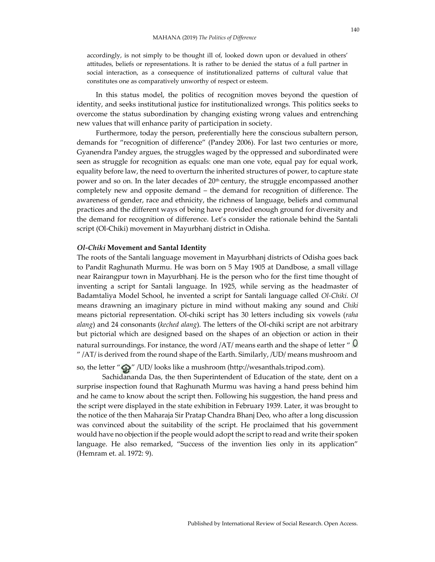accordingly, is not simply to be thought ill of, looked down upon or devalued in others' attitudes, beliefs or representations. It is rather to be denied the status of a full partner in social interaction, as a consequence of institutionalized patterns of cultural value that constitutes one as comparatively unworthy of respect or esteem.

In this status model, the politics of recognition moves beyond the question of identity, and seeks institutional justice for institutionalized wrongs. This politics seeks to overcome the status subordination by changing existing wrong values and entrenching new values that will enhance parity of participation in society.

Furthermore, today the person, preferentially here the conscious subaltern person, demands for "recognition of difference" (Pandey 2006). For last two centuries or more, Gyanendra Pandey argues, the struggles waged by the oppressed and subordinated were seen as struggle for recognition as equals: one man one vote, equal pay for equal work, equality before law, the need to overturn the inherited structures of power, to capture state power and so on. In the later decades of 20<sup>th</sup> century, the struggle encompassed another completely new and opposite demand – the demand for recognition of difference. The awareness of gender, race and ethnicity, the richness of language, beliefs and communal practices and the different ways of being have provided enough ground for diversity and the demand for recognition of difference. Let's consider the rationale behind the Santali script (Ol-Chiki) movement in Mayurbhanj district in Odisha.

#### *Ol-Chiki* **Movement and Santal Identity**

The roots of the Santali language movement in Mayurbhanj districts of Odisha goes back to Pandit Raghunath Murmu. He was born on 5 May 1905 at Dandbose, a small village near Rairangpur town in Mayurbhanj. He is the person who for the first time thought of inventing a script for Santali language. In 1925, while serving as the headmaster of Badamtaliya Model School, he invented a script for Santali language called *Ol-Chiki*. *Ol*  means drawning an imaginary picture in mind without making any sound and *Chiki*  means pictorial representation. Ol-chiki script has 30 letters including six vowels (*raha alang*) and 24 consonants (*keched alang*). The letters of the Ol-chiki script are not arbitrary but pictorial which are designed based on the shapes of an objection or action in their natural surroundings. For instance, the word /AT/ means earth and the shape of letter  $\degree$  0  $\gamma$  /AT/ is derived from the round shape of the Earth. Similarly, /UD/ means mushroom and

so, the letter " $\mathbb{Q}$ " /UD/ looks like a mushroom (http://wesanthals.tripod.com).

Sachidananda Das, the then Superintendent of Education of the state, dent on a surprise inspection found that Raghunath Murmu was having a hand press behind him and he came to know about the script then. Following his suggestion, the hand press and the script were displayed in the state exhibition in February 1939. Later, it was brought to the notice of the then Maharaja Sir Pratap Chandra Bhanj Deo, who after a long discussion was convinced about the suitability of the script. He proclaimed that his government would have no objection if the people would adopt the script to read and write their spoken language. He also remarked, "Success of the invention lies only in its application" (Hemram et. al. 1972: 9).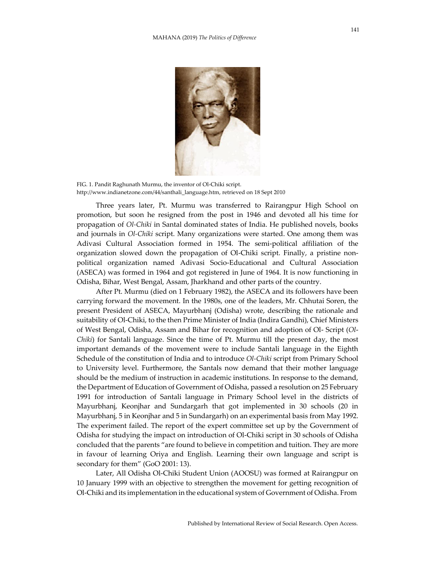

FIG. 1. Pandit Raghunath Murmu, the inventor of Ol-Chiki script. http://www.indianetzone.com/44/santhali\_language.htm, retrieved on 18 Sept 2010

Three years later, Pt. Murmu was transferred to Rairangpur High School on promotion, but soon he resigned from the post in 1946 and devoted all his time for propagation of *Ol-Chiki* in Santal dominated states of India. He published novels, books and journals in *Ol-Chiki* script. Many organizations were started. One among them was Adivasi Cultural Association formed in 1954. The semi-political affiliation of the organization slowed down the propagation of Ol-Chiki script. Finally, a pristine nonpolitical organization named Adivasi Socio-Educational and Cultural Association (ASECA) was formed in 1964 and got registered in June of 1964. It is now functioning in Odisha, Bihar, West Bengal, Assam, Jharkhand and other parts of the country.

After Pt. Murmu (died on 1 February 1982), the ASECA and its followers have been carrying forward the movement. In the 1980s, one of the leaders, Mr. Chhutai Soren, the present President of ASECA, Mayurbhanj (Odisha) wrote, describing the rationale and suitability of Ol-Chiki, to the then Prime Minister of India (Indira Gandhi), Chief Ministers of West Bengal, Odisha, Assam and Bihar for recognition and adoption of Ol- Script (*Ol*-*Chiki*) for Santali language. Since the time of Pt. Murmu till the present day, the most important demands of the movement were to include Santali language in the Eighth Schedule of the constitution of India and to introduce *Ol-Chiki* script from Primary School to University level. Furthermore, the Santals now demand that their mother language should be the medium of instruction in academic institutions. In response to the demand, the Department of Education of Government of Odisha, passed a resolution on 25 February 1991 for introduction of Santali language in Primary School level in the districts of Mayurbhanj, Keonjhar and Sundargarh that got implemented in 30 schools (20 in Mayurbhanj, 5 in Keonjhar and 5 in Sundargarh) on an experimental basis from May 1992. The experiment failed. The report of the expert committee set up by the Government of Odisha for studying the impact on introduction of Ol-Chiki script in 30 schools of Odisha concluded that the parents "are found to believe in competition and tuition. They are more in favour of learning Oriya and English. Learning their own language and script is secondary for them" (GoO 2001: 13).

Later, All Odisha Ol-Chiki Student Union (AOOSU) was formed at Rairangpur on 10 January 1999 with an objective to strengthen the movement for getting recognition of Ol-Chiki and its implementation in the educational system of Government of Odisha. From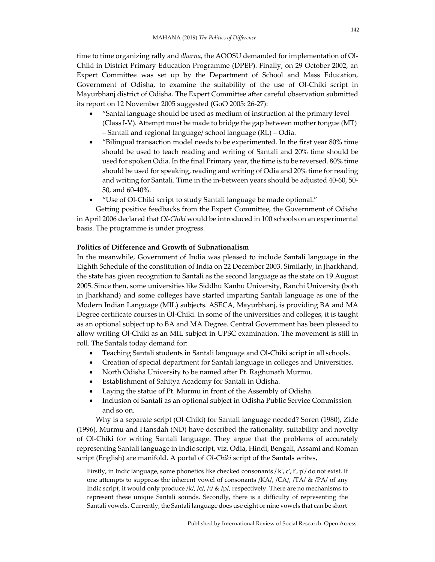time to time organizing rally and *dharna*, the AOOSU demanded for implementation of Ol-Chiki in District Primary Education Programme (DPEP). Finally, on 29 October 2002, an Expert Committee was set up by the Department of School and Mass Education, Government of Odisha, to examine the suitability of the use of Ol-Chiki script in Mayurbhanj district of Odisha. The Expert Committee after careful observation submitted its report on 12 November 2005 suggested (GoO 2005: 26-27):

- "Santal language should be used as medium of instruction at the primary level (Class I-V). Attempt must be made to bridge the gap between mother tongue (MT) – Santali and regional language/ school language (RL) – Odia.
- "Bilingual transaction model needs to be experimented. In the first year 80% time should be used to teach reading and writing of Santali and 20% time should be used for spoken Odia. In the final Primary year, the time is to be reversed. 80% time should be used for speaking, reading and writing of Odia and 20% time for reading and writing for Santali. Time in the in-between years should be adjusted 40-60, 50- 50, and 60-40%.
- "Use of Ol-Chiki script to study Santali language be made optional."

Getting positive feedbacks from the Expert Committee, the Government of Odisha in April 2006 declared that *Ol-Chiki* would be introduced in 100 schools on an experimental basis. The programme is under progress.

## **Politics of Difference and Growth of Subnationalism**

In the meanwhile, Government of India was pleased to include Santali language in the Eighth Schedule of the constitution of India on 22 December 2003. Similarly, in Jharkhand, the state has given recognition to Santali as the second language as the state on 19 August 2005. Since then, some universities like Siddhu Kanhu University, Ranchi University (both in Jharkhand) and some colleges have started imparting Santali language as one of the Modern Indian Language (MIL) subjects. ASECA, Mayurbhanj, is providing BA and MA Degree certificate courses in Ol-Chiki. In some of the universities and colleges, it is taught as an optional subject up to BA and MA Degree. Central Government has been pleased to allow writing Ol-Chiki as an MIL subject in UPSC examination. The movement is still in roll. The Santals today demand for:

- Teaching Santali students in Santali language and Ol-Chiki script in all schools.
- Creation of special department for Santali language in colleges and Universities.
- North Odisha University to be named after Pt. Raghunath Murmu.
- Establishment of Sahitya Academy for Santali in Odisha.
- Laying the statue of Pt. Murmu in front of the Assembly of Odisha.
- Inclusion of Santali as an optional subject in Odisha Public Service Commission and so on.

Why is a separate script (Ol-Chiki) for Santali language needed? Soren (1980), Zide (1996), Murmu and Hansdah (ND) have described the rationality, suitability and novelty of Ol-Chiki for writing Santali language. They argue that the problems of accurately representing Santali language in Indic script, viz. Odia, Hindi, Bengali, Assami and Roman script (English) are manifold. A portal of *Ol-Chiki* script of the Santals writes,

Firstly, in Indic language, some phonetics like checked consonants / k', c', t', p'/ do not exist. If one attempts to suppress the inherent vowel of consonants /KA/, /CA/, /TA/ & /PA/ of any Indic script, it would only produce  $/k/$ ,  $/c/$ ,  $/t/$  &  $/p/$ , respectively. There are no mechanisms to represent these unique Santali sounds. Secondly, there is a difficulty of representing the Santali vowels. Currently, the Santali language does use eight or nine vowels that can be short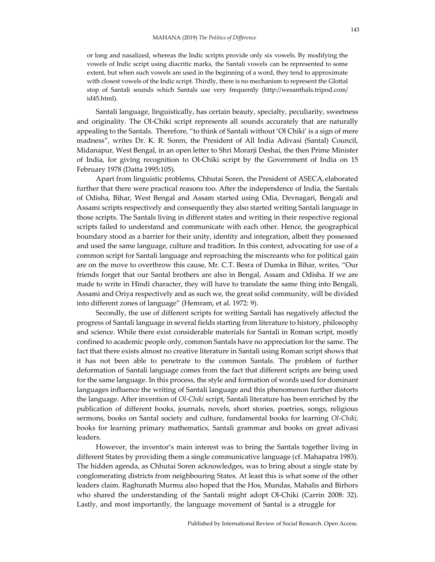or long and nasalized, whereas the Indic scripts provide only six vowels. By modifying the vowels of Indic script using diacritic marks, the Santali vowels can be represented to some extent, but when such vowels are used in the beginning of a word, they tend to approximate with closest vowels of the Indic script. Thirdly, there is no mechanism to represent the Glottal stop of Santali sounds which Santals use very frequently [\(http://wesanthals.tripod.com/](http://wesanthals.tripod.com/) id45.html).

Santali language, linguistically, has certain beauty, specialty, peculiarity, sweetness and originality. The Ol-Chiki script represents all sounds accurately that are naturally appealing to the Santals. Therefore, "to think of Santali without 'Ol Chiki' is a sign of mere madness", writes Dr. K. R. Soren, the President of All India Adivasi (Santal) Council, Midanapur, West Bengal, in an open letter to Shri Morarji Deshai, the then Prime Minister of India, for giving recognition to Ol-Chiki script by the Government of India on 15 February 1978 (Datta 1995:105).

Apart from linguistic problems, Chhutai Soren, the President of ASECA, elaborated further that there were practical reasons too. After the independence of India, the Santals of Odisha, Bihar, West Bengal and Assam started using Odia, Devnagari, Bengali and Assami scripts respectively and consequently they also started writing Santali language in those scripts. The Santals living in different states and writing in their respective regional scripts failed to understand and communicate with each other. Hence, the geographical boundary stood as a barrier for their unity, identity and integration, albeit they possessed and used the same language, culture and tradition. In this context, advocating for use of a common script for Santali language and reproaching the miscreants who for political gain are on the move to overthrow this cause, Mr. C.T. Besra of Dumka in Bihar, writes, "Our friends forget that our Santal brothers are also in Bengal, Assam and Odisha. If we are made to write in Hindi character, they will have to translate the same thing into Bengali, Assami and Oriya respectively and as such we, the great solid community, will be divided into different zones of language" (Hemram, et al. 1972: 9).

Secondly, the use of different scripts for writing Santali has negatively affected the progress of Santali language in several fields starting from literature to history, philosophy and science. While there exist considerable materials for Santali in Roman script, mostly confined to academic people only, common Santals have no appreciation for the same. The fact that there exists almost no creative literature in Santali using Roman script shows that it has not been able to penetrate to the common Santals. The problem of further deformation of Santali language comes from the fact that different scripts are being used for the same language. In this process, the style and formation of words used for dominant languages influence the writing of Santali language and this phenomenon further distorts the language. After invention of *Ol-Chiki* script, Santali literature has been enriched by the publication of different books, journals, novels, short stories, poetries, songs, religious sermons, books on Santal society and culture, fundamental books for learning *Ol-Chiki*, books for learning primary mathematics, Santali grammar and books on great adivasi leaders.

However, the inventor's main interest was to bring the Santals together living in different States by providing them a single communicative language (cf. Mahapatra 1983). The hidden agenda, as Chhutai Soren acknowledges, was to bring about a single state by conglomerating districts from neighbouring States. At least this is what some of the other leaders claim. Raghunath Murmu also hoped that the Hos, Mundas, Mahalis and Birhors who shared the understanding of the Santali might adopt Ol-Chiki (Carrin 2008: 32). Lastly, and most importantly, the language movement of Santal is a struggle for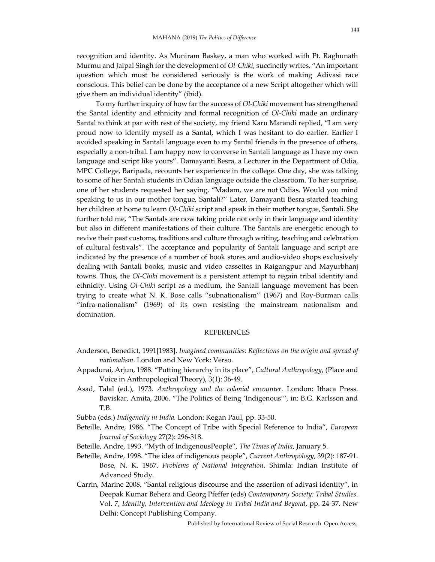recognition and identity. As Muniram Baskey, a man who worked with Pt. Raghunath Murmu and Jaipal Singh for the development of *Ol-Chiki*, succinctly writes, "An important question which must be considered seriously is the work of making Adivasi race conscious. This belief can be done by the acceptance of a new Script altogether which will give them an individual identity" (ibid).

To my further inquiry of how far the success of *Ol-Chiki* movement has strengthened the Santal identity and ethnicity and formal recognition of *Ol-Chiki* made an ordinary Santal to think at par with rest of the society, my friend Karu Marandi replied, "I am very proud now to identify myself as a Santal, which I was hesitant to do earlier. Earlier I avoided speaking in Santali language even to my Santal friends in the presence of others, especially a non-tribal. I am happy now to converse in Santali language as I have my own language and script like yours". Damayanti Besra, a Lecturer in the Department of Odia, MPC College, Baripada, recounts her experience in the college. One day, she was talking to some of her Santali students in Odiaa language outside the classroom. To her surprise, one of her students requested her saying, "Madam, we are not Odias. Would you mind speaking to us in our mother tongue, Santali?" Later, Damayanti Besra started teaching her children at home to learn *Ol-Chiki* script and speak in their mother tongue, Santali. She further told me, "The Santals are now taking pride not only in their language and identity but also in different manifestations of their culture. The Santals are energetic enough to revive their past customs, traditions and culture through writing, teaching and celebration of cultural festivals". The acceptance and popularity of Santali language and script are indicated by the presence of a number of book stores and audio-video shops exclusively dealing with Santali books, music and video cassettes in Raigangpur and Mayurbhanj towns. Thus, the *Ol-Chiki* movement is a persistent attempt to regain tribal identity and ethnicity. Using *Ol-Chiki* script as a medium, the Santali language movement has been trying to create what N. K. Bose calls "subnationalism" (1967) and Roy-Burman calls "infra-nationalism" (1969) of its own resisting the mainstream nationalism and domination.

## **REFERENCES**

- Anderson, Benedict, 1991[1983]. *Imagined communities: Reflections on the origin and spread of nationalism*. London and New York: Verso.
- Appadurai, Arjun, 1988. "Putting hierarchy in its place", *Cultural Anthropology*, (Place and Voice in Anthropological Theory), 3(1): 36-49.
- Asad, Talal (ed.), 1973. *Anthropology and the colonial encounter.* London: Ithaca Press. Baviskar, Amita, 2006. "The Politics of Being 'Indigenous'", in: B.G. Karlsson and T.B.
- Subba (eds.) *Indigeneity in India.* London: Kegan Paul, pp. 33-50.
- Beteille, Andre, 1986. "The Concept of Tribe with Special Reference to India", *European Journal of Sociology* 27(2): 296-318.
- Beteille, Andre, 1993. "Myth of IndigenousPeople", *The Times of India*, January 5.
- Beteille, Andre, 1998. "The idea of indigenous people", *Current Anthropology*, 39(2): 187-91. Bose, N. K. 1967. *Problems of National Integration*. Shimla: Indian Institute of Advanced Study.
- Carrin, Marine 2008. "Santal religious discourse and the assertion of adivasi identity", in Deepak Kumar Behera and Georg Pfeffer (eds) *Contemporary Society: Tribal Studies*. Vol. 7, *Identity, Intervention and Ideology in Tribal India and Beyond*, pp. 24-37. New Delhi: Concept Publishing Company.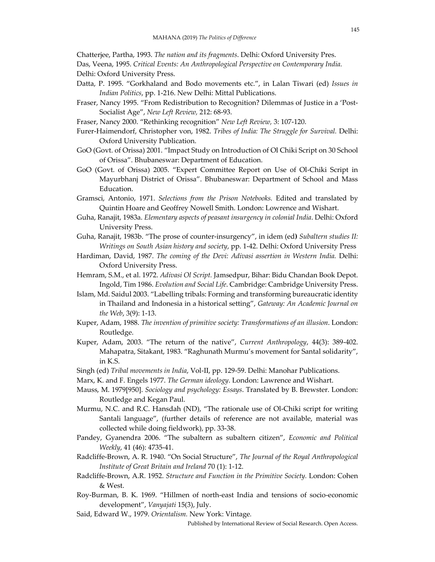Chatterjee, Partha, 1993. *The nation and its fragments*. Delhi: Oxford University Pres.

Das, Veena, 1995. *Critical Events: An Anthropological Perspective on Contemporary India.* Delhi: Oxford University Press.

- Datta, P. 1995. "Gorkhaland and Bodo movements etc.", in Lalan Tiwari (ed) *Issues in Indian Politics*, pp. 1-216. New Delhi: Mittal Publications.
- Fraser, Nancy 1995. "From Redistribution to Recognition? Dilemmas of Justice in a 'Post-Socialist Age", *New Left Review,* 212: 68-93.
- Fraser, Nancy 2000. "Rethinking recognition" *New Left Review,* 3: 107-120.
- Furer-Haimendorf, Christopher von, 1982. *Tribes of India: The Struggle for Survival.* Delhi: Oxford University Publication.
- GoO (Govt. of Orissa) 2001. "Impact Study on Introduction of Ol Chiki Script on 30 School of Orissa". Bhubaneswar: Department of Education.
- GoO (Govt. of Orissa) 2005. "Expert Committee Report on Use of Ol-Chiki Script in Mayurbhanj District of Orissa". Bhubaneswar: Department of School and Mass Education.
- Gramsci, Antonio, 1971. *Selections from the Prison Notebooks.* Edited and translated by Quintin Hoare and Geoffrey Nowell Smith. London: Lowrence and Wishart.
- Guha, Ranajit, 1983a. *Elementary aspects of peasant insurgency in colonial India*. Delhi: Oxford University Press.
- Guha, Ranajit, 1983b. "The prose of counter-insurgency", in idem (ed**)** *Subaltern studies II: Writings on South Asian history and society*, pp. 1-42. Delhi: Oxford University Press
- Hardiman, David, 1987. *The coming of the Devi: Adivasi assertion in Western India.* Delhi: Oxford University Press.
- Hemram, S.M., et al. 1972. *Adivasi Ol Script.* Jamsedpur, Bihar: Bidu Chandan Book Depot. Ingold, Tim 1986. *Evolution and Social Life*. Cambridge: Cambridge University Press.
- Islam, Md. Saidul 2003. "Labelling tribals: Forming and transforming bureaucratic identity in Thailand and Indonesia in a historical setting", *Gateway: An Academic Journal on the Web*, 3(9): 1-13.
- Kuper, Adam, 1988. *The invention of primitive society: Transformations of an illusion*. London: Routledge.
- Kuper, Adam, 2003. "The return of the native", *Current Anthropology*, 44(3): 389-402. Mahapatra, Sitakant, 1983. "Raghunath Murmu's movement for Santal solidarity", in K.S.
- Singh (ed) *Tribal movements in India*, Vol-II, pp. 129-59. Delhi: Manohar Publications.
- Marx, K. and F. Engels 1977. *The German ideology*. London: Lawrence and Wishart.
- Mauss, M. 1979[950]. *Sociology and psychology: Essays*. Translated by B. Brewster. London: Routledge and Kegan Paul.
- Murmu, N.C. and R.C. Hansdah (ND), "The rationale use of Ol-Chiki script for writing Santali language", (further details of reference are not available, material was collected while doing fieldwork), pp. 33-38.
- Pandey, Gyanendra 2006. "The subaltern as subaltern citizen", *Economic and Political Weekly*, 41 (46): 4735-41.
- Radcliffe-Brown, A. R. 1940. "On Social Structure", *The Journal of the Royal Anthropological Institute of Great Britain and Ireland* 70 (1): 1-12.
- Radcliffe-Brown, A.R. 1952. *Structure and Function in the Primitive Society.* London: Cohen & West.
- Roy-Burman, B. K. 1969. "Hillmen of north-east India and tensions of socio-economic development", *Vanyajati* 15(3), July.
- Said, Edward W., 1979. *Orientalism.* New York: Vintage*.*

Published by International Review of Social Research. Open Access.